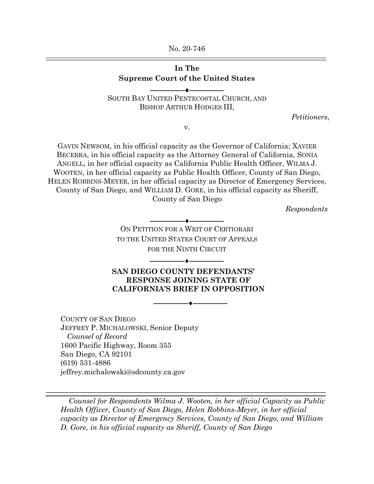No. 20-746

## **In The Supreme Court of the United States**

SOUTH BAY UNITED PENTECOSTAL CHURCH, AND BISHOP ARTHUR HODGES III,

 $-\bullet-$ 

*Petitioners*,

v.

GAVIN NEWSOM, in his official capacity as the Governor of California; XAVIER BECERRA, in his official capacity as the Attorney General of California, SONIA ANGELL, in her official capacity as California Public Health Officer, WILMA J. WOOTEN, in her official capacity as Public Health Officer, County of San Diego, HELEN ROBBINS-MEYER, in her official capacity as Director of Emergency Services, County of San Diego, and WILLIAM D. GORE, in his official capacity as Sheriff, County of San Diego

*Respondents*

ON PETITION FOR A WRIT OF CERTIORARI TO THE UNITED STATES COURT OF APPEALS FOR THE NINTH CIRCUIT

 $\ddot{\bullet}$ 

**SAN DIEGO COUNTY DEFENDANTS' RESPONSE JOINING STATE OF CALIFORNIA'S BRIEF IN OPPOSITION** 

 $\bullet$  .

COUNTY OF SAN DIEGO JEFFREY P. MICHALOWSKI, Senior Deputy *Counsel of Record* 1600 Pacific Highway, Room 355 San Diego, CA 92101 (619) 531-4886 jeffrey.michalowski@sdcounty.ca.gov

*Counsel for Respondents Wilma J. Wooten, in her official Capacity as Public Health Officer, County of San Diego, Helen Robbins-Meyer, in her official capacity as Director of Emergency Services, County of San Diego, and William D. Gore, in his official capacity as Sheriff, County of San Diego*